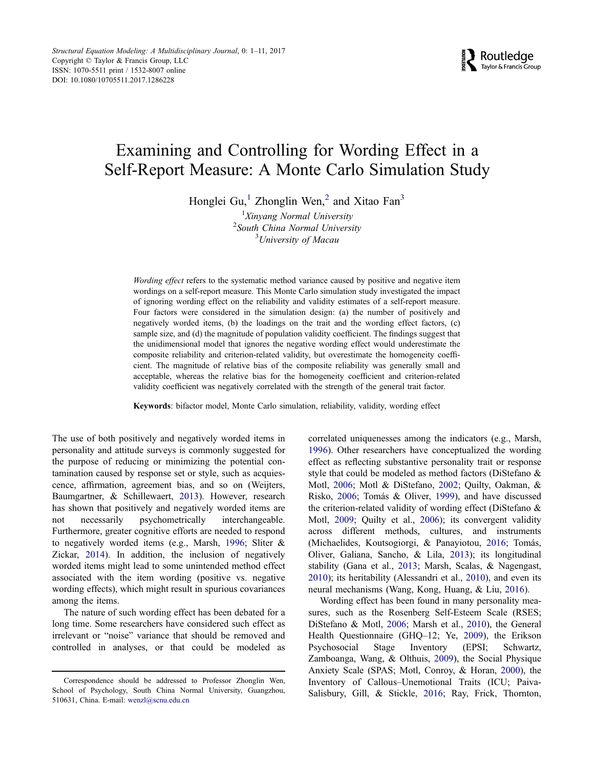# Examining and Controlling for Wording Effect in a Self-Report Measure: A Monte Carlo Simulation Study

Honglei Gu,<sup>1</sup> Zhonglin Wen,<sup>2</sup> and Xitao Fan<sup>3</sup>

<sup>1</sup>Xinyang Normal University <sup>2</sup> South China Normal University <sup>3</sup>University of Macau

Wording effect refers to the systematic method variance caused by positive and negative item wordings on a self-report measure. This Monte Carlo simulation study investigated the impact of ignoring wording effect on the reliability and validity estimates of a self-report measure. Four factors were considered in the simulation design: (a) the number of positively and negatively worded items, (b) the loadings on the trait and the wording effect factors, (c) sample size, and (d) the magnitude of population validity coefficient. The findings suggest that the unidimensional model that ignores the negative wording effect would underestimate the composite reliability and criterion-related validity, but overestimate the homogeneity coefficient. The magnitude of relative bias of the composite reliability was generally small and acceptable, whereas the relative bias for the homogeneity coefficient and criterion-related validity coefficient was negatively correlated with the strength of the general trait factor.

Keywords: bifactor model, Monte Carlo simulation, reliability, validity, wording effect

The use of both positively and negatively worded items in personality and attitude surveys is commonly suggested for the purpose of reducing or minimizing the potential contamination caused by response set or style, such as acquiescence, affirmation, agreement bias, and so on (Weijters, Baumgartner, & Schillewaert, 2013). However, research has shown that positively and negatively worded items are not necessarily psychometrically interchangeable. Furthermore, greater cognitive efforts are needed to respond to negatively worded items (e.g., Marsh, 1996; Sliter & Zickar, 2014). In addition, the inclusion of negatively worded items might lead to some unintended method effect associated with the item wording (positive vs. negative wording effects), which might result in spurious covariances among the items.

The nature of such wording effect has been debated for a long time. Some researchers have considered such effect as irrelevant or "noise" variance that should be removed and controlled in analyses, or that could be modeled as correlated uniquenesses among the indicators (e.g., Marsh, 1996). Other researchers have conceptualized the wording effect as reflecting substantive personality trait or response style that could be modeled as method factors (DiStefano & Motl, 2006; Motl & DiStefano, 2002; Quilty, Oakman, & Risko, 2006; Tomás & Oliver, 1999), and have discussed the criterion-related validity of wording effect (DiStefano & Motl, 2009; Quilty et al., 2006); its convergent validity across different methods, cultures, and instruments (Michaelides, Koutsogiorgi, & Panayiotou, 2016; Tomás, Oliver, Galiana, Sancho, & Lila, 2013); its longitudinal stability (Gana et al., 2013; Marsh, Scalas, & Nagengast, 2010); its heritability (Alessandri et al., 2010), and even its neural mechanisms (Wang, Kong, Huang, & Liu, 2016).

Wording effect has been found in many personality measures, such as the Rosenberg Self-Esteem Scale (RSES; DiStefano & Motl, 2006; Marsh et al., 2010), the General Health Questionnaire (GHQ–12; Ye, 2009), the Erikson Psychosocial Stage Inventory (EPSI; Schwartz, Zamboanga, Wang, & Olthuis, 2009), the Social Physique Anxiety Scale (SPAS; Motl, Conroy, & Horan, 2000), the Inventory of Callous–Unemotional Traits (ICU; Paiva-Salisbury, Gill, & Stickle, 2016; Ray, Frick, Thornton,

Correspondence should be addressed to Professor Zhonglin Wen, School of Psychology, South China Normal University, Guangzhou, 510631, China. E-mail: wenzl@scnu.edu.cn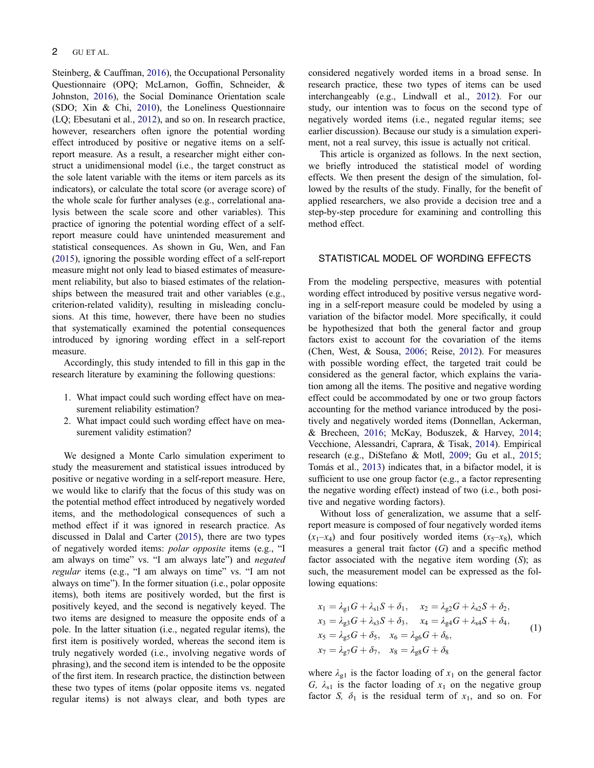Steinberg, & Cauffman, 2016), the Occupational Personality Questionnaire (OPQ; McLarnon, Goffin, Schneider, & Johnston, 2016), the Social Dominance Orientation scale (SDO; Xin & Chi, 2010), the Loneliness Questionnaire (LQ; Ebesutani et al., 2012), and so on. In research practice, however, researchers often ignore the potential wording effect introduced by positive or negative items on a selfreport measure. As a result, a researcher might either construct a unidimensional model (i.e., the target construct as the sole latent variable with the items or item parcels as its indicators), or calculate the total score (or average score) of the whole scale for further analyses (e.g., correlational analysis between the scale score and other variables). This practice of ignoring the potential wording effect of a selfreport measure could have unintended measurement and statistical consequences. As shown in Gu, Wen, and Fan (2015), ignoring the possible wording effect of a self-report measure might not only lead to biased estimates of measurement reliability, but also to biased estimates of the relationships between the measured trait and other variables (e.g., criterion-related validity), resulting in misleading conclusions. At this time, however, there have been no studies that systematically examined the potential consequences introduced by ignoring wording effect in a self-report measure.

Accordingly, this study intended to fill in this gap in the research literature by examining the following questions:

- 1. What impact could such wording effect have on measurement reliability estimation?
- 2. What impact could such wording effect have on measurement validity estimation?

We designed a Monte Carlo simulation experiment to study the measurement and statistical issues introduced by positive or negative wording in a self-report measure. Here, we would like to clarify that the focus of this study was on the potential method effect introduced by negatively worded items, and the methodological consequences of such a method effect if it was ignored in research practice. As discussed in Dalal and Carter (2015), there are two types of negatively worded items: polar opposite items (e.g., "I am always on time" vs. "I am always late") and negated regular items (e.g., "I am always on time" vs. "I am not always on time"). In the former situation (i.e., polar opposite items), both items are positively worded, but the first is positively keyed, and the second is negatively keyed. The two items are designed to measure the opposite ends of a pole. In the latter situation (i.e., negated regular items), the first item is positively worded, whereas the second item is truly negatively worded (i.e., involving negative words of phrasing), and the second item is intended to be the opposite of the first item. In research practice, the distinction between these two types of items (polar opposite items vs. negated regular items) is not always clear, and both types are

considered negatively worded items in a broad sense. In research practice, these two types of items can be used interchangeably (e.g., Lindwall et al., 2012). For our study, our intention was to focus on the second type of negatively worded items (i.e., negated regular items; see earlier discussion). Because our study is a simulation experiment, not a real survey, this issue is actually not critical.

This article is organized as follows. In the next section, we briefly introduced the statistical model of wording effects. We then present the design of the simulation, followed by the results of the study. Finally, for the benefit of applied researchers, we also provide a decision tree and a step-by-step procedure for examining and controlling this method effect.

## STATISTICAL MODEL OF WORDING EFFECTS

From the modeling perspective, measures with potential wording effect introduced by positive versus negative wording in a self-report measure could be modeled by using a variation of the bifactor model. More specifically, it could be hypothesized that both the general factor and group factors exist to account for the covariation of the items (Chen, West, & Sousa, 2006; Reise, 2012). For measures with possible wording effect, the targeted trait could be considered as the general factor, which explains the variation among all the items. The positive and negative wording effect could be accommodated by one or two group factors accounting for the method variance introduced by the positively and negatively worded items (Donnellan, Ackerman, & Brecheen, 2016; McKay, Boduszek, & Harvey, 2014; Vecchione, Alessandri, Caprara, & Tisak, 2014). Empirical research (e.g., DiStefano & Motl, 2009; Gu et al., 2015; Tomás et al., 2013) indicates that, in a bifactor model, it is sufficient to use one group factor (e.g., a factor representing the negative wording effect) instead of two (i.e., both positive and negative wording factors).

Without loss of generalization, we assume that a selfreport measure is composed of four negatively worded items  $(x_1-x_4)$  and four positively worded items  $(x_5-x_8)$ , which measures a general trait factor  $(G)$  and a specific method factor associated with the negative item wording (S); as such, the measurement model can be expressed as the following equations:

$$
x_1 = \lambda_{g1}G + \lambda_{s1}S + \delta_1, \quad x_2 = \lambda_{g2}G + \lambda_{s2}S + \delta_2, \n x_3 = \lambda_{g3}G + \lambda_{s3}S + \delta_3, \quad x_4 = \lambda_{g4}G + \lambda_{s4}S + \delta_4, \n x_5 = \lambda_{g5}G + \delta_5, \quad x_6 = \lambda_{g6}G + \delta_6, \n x_7 = \lambda_{g7}G + \delta_7, \quad x_8 = \lambda_{g8}G + \delta_8
$$
\n(1)

where  $\lambda_{g1}$  is the factor loading of  $x_1$  on the general factor G,  $\lambda_{s1}$  is the factor loading of  $x_1$  on the negative group factor S,  $\delta_1$  is the residual term of  $x_1$ , and so on. For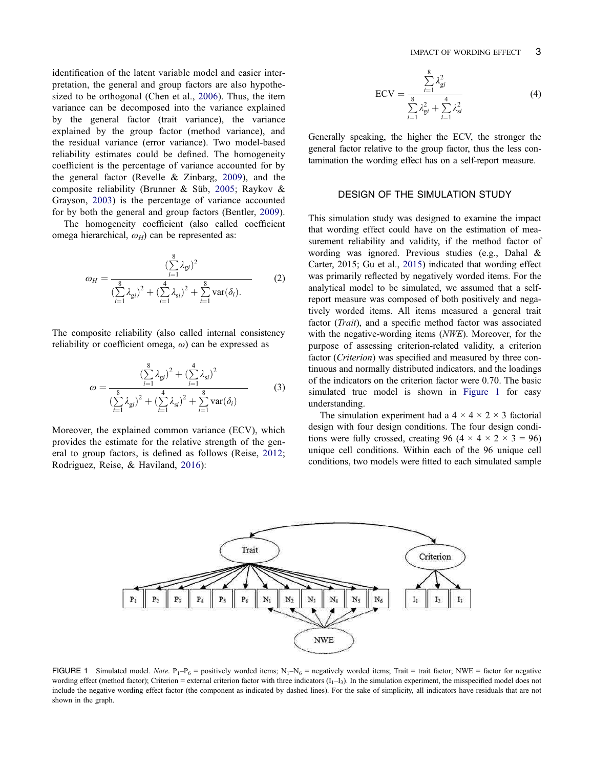identification of the latent variable model and easier interpretation, the general and group factors are also hypothesized to be orthogonal (Chen et al., 2006). Thus, the item variance can be decomposed into the variance explained by the general factor (trait variance), the variance explained by the group factor (method variance), and the residual variance (error variance). Two model-based reliability estimates could be defined. The homogeneity coefficient is the percentage of variance accounted for by the general factor (Revelle & Zinbarg, 2009), and the composite reliability (Brunner & Süb, 2005; Raykov & Grayson, 2003) is the percentage of variance accounted for by both the general and group factors (Bentler, 2009).

The homogeneity coefficient (also called coefficient omega hierarchical,  $\omega_H$ ) can be represented as:

$$
\omega_H = \frac{(\sum_{i=1}^8 \lambda_{gi})^2}{(\sum_{i=1}^8 \lambda_{gi})^2 + (\sum_{i=1}^4 \lambda_{si})^2 + \sum_{i=1}^8 \text{var}(\delta_i).}
$$
 (2)

The composite reliability (also called internal consistency reliability or coefficient omega,  $\omega$ ) can be expressed as

$$
\omega = \frac{\left(\sum_{i=1}^{8} \lambda_{gi}\right)^2 + \left(\sum_{i=1}^{4} \lambda_{si}\right)^2}{\left(\sum_{i=1}^{8} \lambda_{gi}\right)^2 + \left(\sum_{i=1}^{4} \lambda_{si}\right)^2 + \sum_{i=1}^{8} \text{var}(\delta_i)}
$$
(3)

Moreover, the explained common variance (ECV), which provides the estimate for the relative strength of the general to group factors, is defined as follows (Reise, 2012; Rodriguez, Reise, & Haviland, 2016):

$$
ECV = \frac{\sum_{i=1}^{8} \lambda_{gi}^2}{\sum_{i=1}^{8} \lambda_{gi}^2 + \sum_{i=1}^{4} \lambda_{si}^2}
$$
(4)

Generally speaking, the higher the ECV, the stronger the general factor relative to the group factor, thus the less contamination the wording effect has on a self-report measure.

#### DESIGN OF THE SIMULATION STUDY

This simulation study was designed to examine the impact that wording effect could have on the estimation of measurement reliability and validity, if the method factor of wording was ignored. Previous studies (e.g., Dahal & Carter, 2015; Gu et al., 2015) indicated that wording effect was primarily reflected by negatively worded items. For the analytical model to be simulated, we assumed that a selfreport measure was composed of both positively and negatively worded items. All items measured a general trait factor (*Trait*), and a specific method factor was associated with the negative-wording items (NWE). Moreover, for the purpose of assessing criterion-related validity, a criterion factor (*Criterion*) was specified and measured by three continuous and normally distributed indicators, and the loadings of the indicators on the criterion factor were 0.70. The basic simulated true model is shown in Figure 1 for easy understanding.

The simulation experiment had a  $4 \times 4 \times 2 \times 3$  factorial design with four design conditions. The four design conditions were fully crossed, creating 96 (4  $\times$  4  $\times$  2  $\times$  3 = 96) unique cell conditions. Within each of the 96 unique cell conditions, two models were fitted to each simulated sample



FIGURE 1 Simulated model. Note.  $P_1-P_6 =$  positively worded items;  $N_1-N_6 =$  negatively worded items; Trait = trait factor; NWE = factor for negative wording effect (method factor); Criterion = external criterion factor with three indicators  $(I_1-I_3)$ . In the simulation experiment, the misspecified model does not include the negative wording effect factor (the component as indicated by dashed lines). For the sake of simplicity, all indicators have residuals that are not shown in the graph.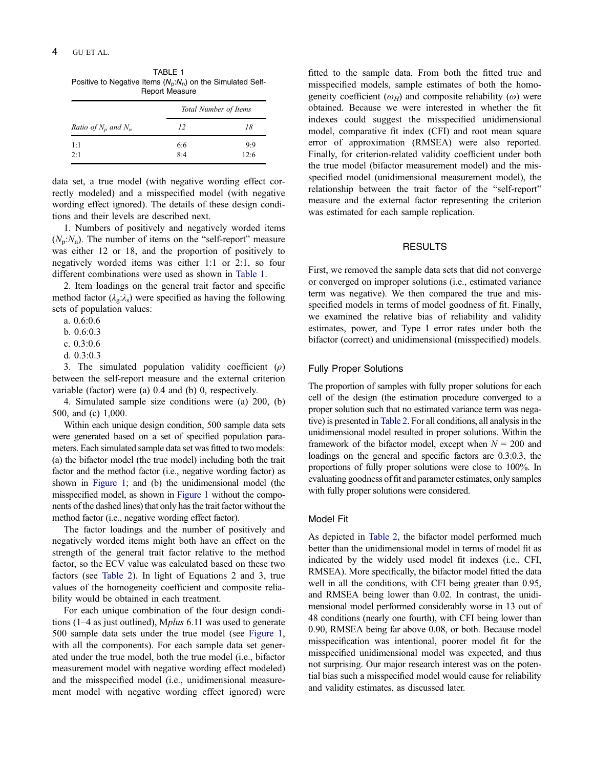| TABLE 1                                                       |
|---------------------------------------------------------------|
| Positive to Negative Items $(N_p:N_p)$ on the Simulated Self- |
| <b>Report Measure</b>                                         |

|                                 | Total Number of Items |      |  |
|---------------------------------|-----------------------|------|--|
| <i>Ratio of</i> $N_p$ and $N_n$ | 12                    | 18   |  |
| 1:1                             | 6:6                   | 9:9  |  |
| 2:1                             | 8:4                   | 12:6 |  |

data set, a true model (with negative wording effect correctly modeled) and a misspecified model (with negative wording effect ignored). The details of these design conditions and their levels are described next.

1. Numbers of positively and negatively worded items  $(N_p:N_n)$ . The number of items on the "self-report" measure was either 12 or 18, and the proportion of positively to negatively worded items was either 1:1 or 2:1, so four different combinations were used as shown in Table 1.

2. Item loadings on the general trait factor and specific method factor ( $\lambda_{\rm g}$ : $\lambda_{\rm s}$ ) were specified as having the following sets of population values:

- a. 0.6:0.6
- b. 0.6:0.3
- c. 0.3:0.6
- d. 0.3:0.3

3. The simulated population validity coefficient  $(\rho)$ between the self-report measure and the external criterion variable (factor) were (a) 0.4 and (b) 0, respectively.

4. Simulated sample size conditions were (a) 200, (b) 500, and (c) 1,000.

Within each unique design condition, 500 sample data sets were generated based on a set of specified population parameters. Each simulated sample data set was fitted to two models: (a) the bifactor model (the true model) including both the trait factor and the method factor (i.e., negative wording factor) as shown in Figure 1; and (b) the unidimensional model (the misspecified model, as shown in Figure 1 without the components of the dashed lines) that only has the trait factor without the method factor (i.e., negative wording effect factor).

The factor loadings and the number of positively and negatively worded items might both have an effect on the strength of the general trait factor relative to the method factor, so the ECV value was calculated based on these two factors (see Table 2). In light of Equations 2 and 3, true values of the homogeneity coefficient and composite reliability would be obtained in each treatment.

For each unique combination of the four design conditions (1–4 as just outlined), Mplus 6.11 was used to generate 500 sample data sets under the true model (see Figure 1, with all the components). For each sample data set generated under the true model, both the true model (i.e., bifactor measurement model with negative wording effect modeled) and the misspecified model (i.e., unidimensional measurement model with negative wording effect ignored) were fitted to the sample data. From both the fitted true and misspecified models, sample estimates of both the homogeneity coefficient  $(\omega_H)$  and composite reliability  $(\omega)$  were obtained. Because we were interested in whether the fit indexes could suggest the misspecified unidimensional model, comparative fit index (CFI) and root mean square error of approximation (RMSEA) were also reported. Finally, for criterion-related validity coefficient under both the true model (bifactor measurement model) and the misspecified model (unidimensional measurement model), the relationship between the trait factor of the "self-report" measure and the external factor representing the criterion was estimated for each sample replication.

## RESULTS

First, we removed the sample data sets that did not converge or converged on improper solutions (i.e., estimated variance term was negative). We then compared the true and misspecified models in terms of model goodness of fit. Finally, we examined the relative bias of reliability and validity estimates, power, and Type I error rates under both the bifactor (correct) and unidimensional (misspecified) models.

## Fully Proper Solutions

The proportion of samples with fully proper solutions for each cell of the design (the estimation procedure converged to a proper solution such that no estimated variance term was negative) is presented in Table 2. For all conditions, all analysis in the unidimensional model resulted in proper solutions. Within the framework of the bifactor model, except when  $N = 200$  and loadings on the general and specific factors are 0.3:0.3, the proportions of fully proper solutions were close to 100%. In evaluating goodness of fit and parameter estimates, only samples with fully proper solutions were considered.

#### Model Fit

As depicted in Table 2, the bifactor model performed much better than the unidimensional model in terms of model fit as indicated by the widely used model fit indexes (i.e., CFI, RMSEA). More specifically, the bifactor model fitted the data well in all the conditions, with CFI being greater than 0.95, and RMSEA being lower than 0.02. In contrast, the unidimensional model performed considerably worse in 13 out of 48 conditions (nearly one fourth), with CFI being lower than 0.90, RMSEA being far above 0.08, or both. Because model misspecification was intentional, poorer model fit for the misspecified unidimensional model was expected, and thus not surprising. Our major research interest was on the potential bias such a misspecified model would cause for reliability and validity estimates, as discussed later.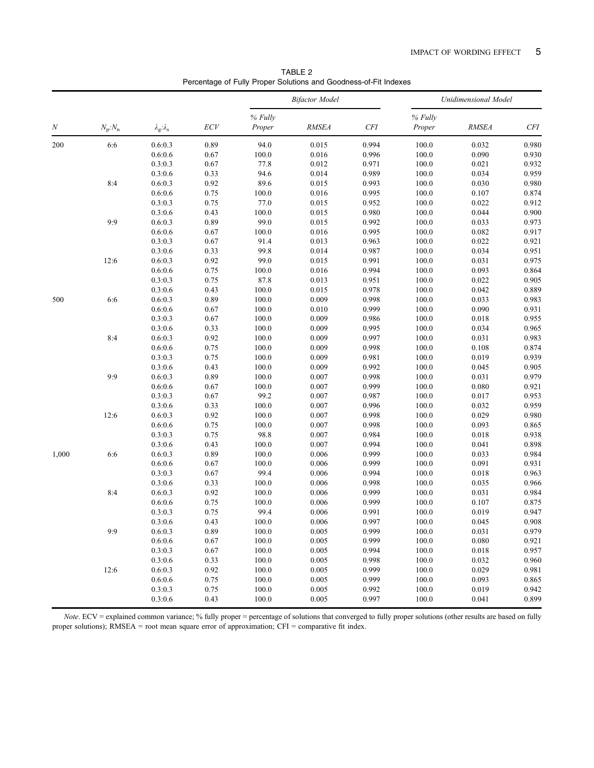TABLE 2 Percentage of Fully Proper Solutions and Goodness-of-Fit Indexes

|                  |                           |                                       |              | <b>Bifactor Model</b> |       |       | Unidimensional Model |                |       |
|------------------|---------------------------|---------------------------------------|--------------|-----------------------|-------|-------|----------------------|----------------|-------|
|                  |                           |                                       |              | % Fully               |       |       | % Fully              |                |       |
| $\boldsymbol{N}$ | $N_{\rm p}$ : $N_{\rm n}$ | $\lambda_{\rm g}$ : $\lambda_{\rm s}$ | ECV          | Proper                | RMSEA | CFI   | Proper               | <b>RMSEA</b>   | $CFI$ |
| 200              | 6:6                       | 0.6:0.3                               | 0.89         | 94.0                  | 0.015 | 0.994 | 100.0                | 0.032          | 0.980 |
|                  |                           | 0.6:0.6                               | 0.67         | 100.0                 | 0.016 | 0.996 | 100.0                | 0.090          | 0.930 |
|                  |                           | 0.3:0.3                               | 0.67         | 77.8                  | 0.012 | 0.971 | 100.0                | 0.021          | 0.932 |
|                  |                           | 0.3:0.6                               | 0.33         | 94.6                  | 0.014 | 0.989 | 100.0                | 0.034          | 0.959 |
|                  | 8:4                       | 0.6:0.3                               | 0.92         | 89.6                  | 0.015 | 0.993 | 100.0                | 0.030          | 0.980 |
|                  |                           | 0.6:0.6                               | 0.75         | 100.0                 | 0.016 | 0.995 | 100.0                | 0.107          | 0.874 |
|                  |                           | 0.3:0.3                               | 0.75         | 77.0                  | 0.015 | 0.952 | 100.0                | 0.022          | 0.912 |
|                  |                           | 0.3:0.6                               | 0.43         | 100.0                 | 0.015 | 0.980 | 100.0                | 0.044          | 0.900 |
|                  | 9:9                       | 0.6:0.3                               | 0.89         | 99.0                  | 0.015 | 0.992 | 100.0                | 0.033          | 0.973 |
|                  |                           | 0.6:0.6                               | 0.67         | 100.0                 | 0.016 | 0.995 | 100.0                | 0.082          | 0.917 |
|                  |                           | 0.3:0.3                               | 0.67         | 91.4                  | 0.013 | 0.963 | 100.0                | 0.022          | 0.921 |
|                  |                           | 0.3:0.6                               | 0.33         | 99.8                  | 0.014 | 0.987 | 100.0                | 0.034          | 0.951 |
|                  | 12:6                      | 0.6:0.3                               | 0.92         | 99.0                  | 0.015 | 0.991 | 100.0                | 0.031          | 0.975 |
|                  |                           | 0.6:0.6                               | 0.75         | 100.0                 | 0.016 | 0.994 | 100.0                | 0.093          | 0.864 |
|                  |                           | 0.3:0.3                               | 0.75         | 87.8                  | 0.013 | 0.951 | 100.0                | 0.022          | 0.905 |
|                  |                           | 0.3:0.6                               | 0.43         | 100.0                 | 0.015 | 0.978 | 100.0                | 0.042          | 0.889 |
| 500              | 6:6                       | 0.6:0.3                               | 0.89         | 100.0                 | 0.009 | 0.998 | 100.0                | 0.033          | 0.983 |
|                  |                           | 0.6:0.6                               | 0.67         | 100.0                 | 0.010 | 0.999 | 100.0                | 0.090          | 0.931 |
|                  |                           | 0.3:0.3                               | 0.67         | 100.0                 | 0.009 | 0.986 | 100.0                | 0.018          | 0.955 |
|                  |                           | 0.3:0.6                               | 0.33         | 100.0                 | 0.009 | 0.995 | 100.0                | 0.034          | 0.965 |
|                  | 8:4                       | 0.6:0.3                               | 0.92         | 100.0                 | 0.009 | 0.997 | 100.0                | 0.031          | 0.983 |
|                  |                           | 0.6:0.6                               | 0.75         | 100.0                 | 0.009 | 0.998 | 100.0                | 0.108          | 0.874 |
|                  |                           | 0.3:0.3                               | 0.75         | 100.0                 | 0.009 | 0.981 | 100.0                | 0.019          | 0.939 |
|                  |                           | 0.3:0.6                               | 0.43         | 100.0                 | 0.009 | 0.992 | 100.0                | 0.045          | 0.905 |
|                  | 9:9                       | 0.6:0.3                               | 0.89         | 100.0                 | 0.007 | 0.998 | 100.0                | 0.031          | 0.979 |
|                  |                           | 0.6:0.6                               | 0.67         | 100.0                 | 0.007 | 0.999 | 100.0                | 0.080          | 0.921 |
|                  |                           | 0.3:0.3                               | 0.67         | 99.2                  | 0.007 | 0.987 | 100.0                | 0.017          | 0.953 |
|                  |                           | 0.3:0.6                               | 0.33         | 100.0                 | 0.007 | 0.996 | 100.0                | 0.032          | 0.959 |
|                  | 12:6                      | 0.6:0.3                               | 0.92         | 100.0                 | 0.007 | 0.998 | 100.0                | 0.029          | 0.980 |
|                  |                           | 0.6:0.6                               | 0.75         | 100.0                 | 0.007 | 0.998 | 100.0                | 0.093          | 0.865 |
|                  |                           | 0.3:0.3                               | 0.75         | 98.8                  | 0.007 | 0.984 | 100.0                | 0.018          | 0.938 |
|                  |                           | 0.3:0.6                               | 0.43         | 100.0                 | 0.007 | 0.994 | 100.0                | 0.041          | 0.898 |
| 1,000            | 6:6                       | 0.6:0.3                               | 0.89         | 100.0                 | 0.006 | 0.999 | 100.0                | 0.033          | 0.984 |
|                  |                           | 0.6:0.6                               | 0.67         | 100.0                 | 0.006 | 0.999 | 100.0                | 0.091          | 0.931 |
|                  |                           | 0.3:0.3                               | 0.67         | 99.4                  | 0.006 | 0.994 | 100.0                | 0.018          | 0.963 |
|                  |                           | 0.3:0.6                               | 0.33         | 100.0                 | 0.006 | 0.998 | 100.0                | 0.035          | 0.966 |
|                  | 8:4                       | 0.6:0.3                               | 0.92         | 100.0                 | 0.006 | 0.999 | 100.0                | 0.031          | 0.984 |
|                  |                           | 0.6:0.6                               | 0.75         | 100.0                 | 0.006 | 0.999 | 100.0                | 0.107          | 0.875 |
|                  |                           | 0.3:0.3                               | 0.75         | 99.4                  | 0.006 | 0.991 | 100.0                | 0.019          | 0.947 |
|                  |                           | 0.3:0.6                               | 0.43         | 100.0                 | 0.006 | 0.997 | 100.0                | 0.045          | 0.908 |
|                  | 9:9                       |                                       | 0.89         | 100.0                 | 0.005 | 0.999 | $100.0\,$            |                | 0.979 |
|                  |                           | 0.6:0.3<br>0.6:0.6                    | 0.67         | 100.0                 | 0.005 | 0.999 | 100.0                | 0.031<br>0.080 | 0.921 |
|                  |                           | 0.3:0.3                               |              | 100.0                 | 0.005 | 0.994 |                      | 0.018          | 0.957 |
|                  |                           |                                       | 0.67         |                       | 0.005 | 0.998 | 100.0<br>100.0       | 0.032          | 0.960 |
|                  |                           | 0.3:0.6<br>0.6:0.3                    | 0.33<br>0.92 | 100.0<br>100.0        | 0.005 | 0.999 | 100.0                | 0.029          | 0.981 |
|                  | 12:6                      |                                       |              |                       |       |       |                      |                |       |
|                  |                           | 0.6:0.6                               | 0.75         | 100.0                 | 0.005 | 0.999 | 100.0                | 0.093          | 0.865 |
|                  |                           | 0.3:0.3                               | 0.75         | 100.0                 | 0.005 | 0.992 | 100.0                | 0.019          | 0.942 |
|                  |                           | 0.3:0.6                               | 0.43         | 100.0                 | 0.005 | 0.997 | 100.0                | 0.041          | 0.899 |

Note. ECV = explained common variance; % fully proper = percentage of solutions that converged to fully proper solutions (other results are based on fully proper solutions); RMSEA = root mean square error of approximation; CFI = comparative fit index.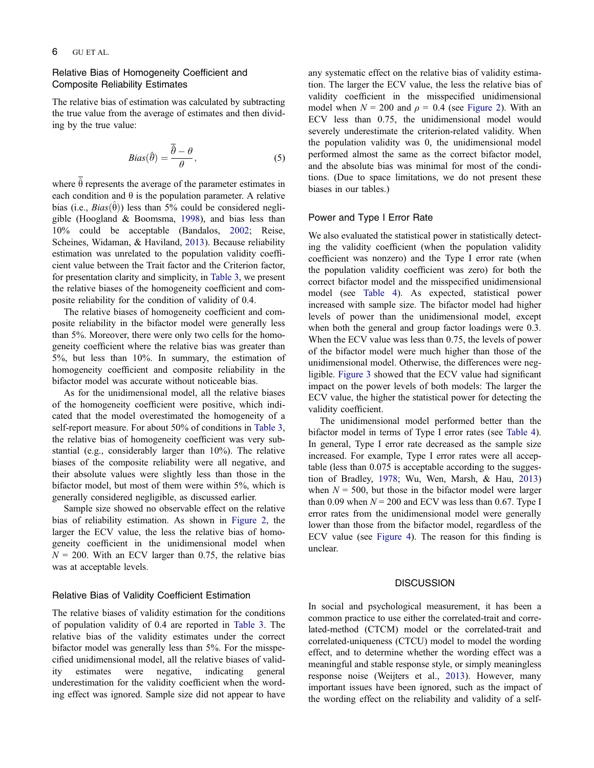# Relative Bias of Homogeneity Coefficient and Composite Reliability Estimates

The relative bias of estimation was calculated by subtracting the true value from the average of estimates and then dividing by the true value:

$$
Bias(\hat{\theta}) = \frac{\overline{\hat{\theta}} - \theta}{\theta},
$$
\n(5)

where  $\hat{\theta}$  represents the average of the parameter estimates in each condition and  $\theta$  is the population parameter. A relative bias (i.e.,  $Bias(\hat{\theta})$ ) less than 5% could be considered negligible (Hoogland & Boomsma, 1998), and bias less than 10% could be acceptable (Bandalos, 2002; Reise, Scheines, Widaman, & Haviland, 2013). Because reliability estimation was unrelated to the population validity coefficient value between the Trait factor and the Criterion factor, for presentation clarity and simplicity, in Table 3, we present the relative biases of the homogeneity coefficient and composite reliability for the condition of validity of 0.4.

The relative biases of homogeneity coefficient and composite reliability in the bifactor model were generally less than 5%. Moreover, there were only two cells for the homogeneity coefficient where the relative bias was greater than 5%, but less than 10%. In summary, the estimation of homogeneity coefficient and composite reliability in the bifactor model was accurate without noticeable bias.

As for the unidimensional model, all the relative biases of the homogeneity coefficient were positive, which indicated that the model overestimated the homogeneity of a self-report measure. For about 50% of conditions in Table 3, the relative bias of homogeneity coefficient was very substantial (e.g., considerably larger than 10%). The relative biases of the composite reliability were all negative, and their absolute values were slightly less than those in the bifactor model, but most of them were within 5%, which is generally considered negligible, as discussed earlier.

Sample size showed no observable effect on the relative bias of reliability estimation. As shown in Figure 2, the larger the ECV value, the less the relative bias of homogeneity coefficient in the unidimensional model when  $N = 200$ . With an ECV larger than 0.75, the relative bias was at acceptable levels.

#### Relative Bias of Validity Coefficient Estimation

The relative biases of validity estimation for the conditions of population validity of 0.4 are reported in Table 3. The relative bias of the validity estimates under the correct bifactor model was generally less than 5%. For the misspecified unidimensional model, all the relative biases of validity estimates were negative, indicating general underestimation for the validity coefficient when the wording effect was ignored. Sample size did not appear to have

any systematic effect on the relative bias of validity estimation. The larger the ECV value, the less the relative bias of validity coefficient in the misspecified unidimensional model when  $N = 200$  and  $\rho = 0.4$  (see Figure 2). With an ECV less than 0.75, the unidimensional model would severely underestimate the criterion-related validity. When the population validity was 0, the unidimensional model performed almost the same as the correct bifactor model, and the absolute bias was minimal for most of the conditions. (Due to space limitations, we do not present these biases in our tables.)

# Power and Type I Error Rate

We also evaluated the statistical power in statistically detecting the validity coefficient (when the population validity coefficient was nonzero) and the Type I error rate (when the population validity coefficient was zero) for both the correct bifactor model and the misspecified unidimensional model (see Table 4). As expected, statistical power increased with sample size. The bifactor model had higher levels of power than the unidimensional model, except when both the general and group factor loadings were 0.3. When the ECV value was less than 0.75, the levels of power of the bifactor model were much higher than those of the unidimensional model. Otherwise, the differences were negligible. Figure 3 showed that the ECV value had significant impact on the power levels of both models: The larger the ECV value, the higher the statistical power for detecting the validity coefficient.

The unidimensional model performed better than the bifactor model in terms of Type I error rates (see Table 4). In general, Type I error rate decreased as the sample size increased. For example, Type I error rates were all acceptable (less than 0.075 is acceptable according to the suggestion of Bradley, 1978; Wu, Wen, Marsh, & Hau, 2013) when  $N = 500$ , but those in the bifactor model were larger than 0.09 when  $N = 200$  and ECV was less than 0.67. Type I error rates from the unidimensional model were generally lower than those from the bifactor model, regardless of the ECV value (see Figure 4). The reason for this finding is unclear.

#### **DISCUSSION**

In social and psychological measurement, it has been a common practice to use either the correlated-trait and correlated-method (CTCM) model or the correlated-trait and correlated-uniqueness (CTCU) model to model the wording effect, and to determine whether the wording effect was a meaningful and stable response style, or simply meaningless response noise (Weijters et al., 2013). However, many important issues have been ignored, such as the impact of the wording effect on the reliability and validity of a self-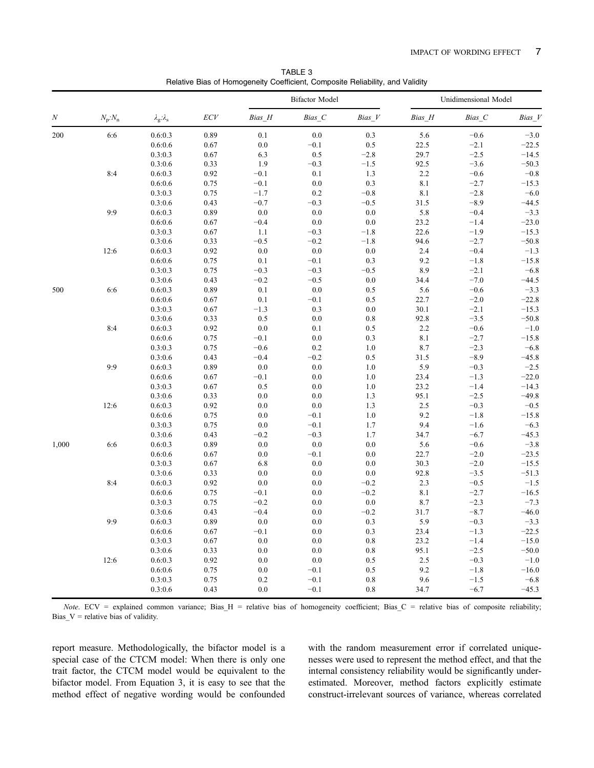TABLE 3 Relative Bias of Homogeneity Coefficient, Composite Reliability, and Validity

|       |                           |                                             |      |        | <b>Bifactor Model</b> |         | Unidimensional Model |        |         |
|-------|---------------------------|---------------------------------------------|------|--------|-----------------------|---------|----------------------|--------|---------|
| N     | $N_{\rm p}$ : $N_{\rm n}$ | $\lambda_{\rm g} \!\!:\!\! \lambda_{\rm s}$ | ECV  | Bias H | Bias C                | Bias V  | Bias H               | Bias C | Bias V  |
| 200   | 6:6                       | 0.6:0.3                                     | 0.89 | 0.1    | 0.0                   | 0.3     | 5.6                  | $-0.6$ | $-3.0$  |
|       |                           | 0.6:0.6                                     | 0.67 | 0.0    | $-0.1$                | 0.5     | 22.5                 | $-2.1$ | $-22.5$ |
|       |                           | 0.3:0.3                                     | 0.67 | 6.3    | 0.5                   | $-2.8$  | 29.7                 | $-2.5$ | $-14.5$ |
|       |                           | 0.3:0.6                                     | 0.33 | 1.9    | $-0.3$                | $-1.5$  | 92.5                 | $-3.6$ | $-50.3$ |
|       | 8:4                       | 0.6:0.3                                     | 0.92 | $-0.1$ | 0.1                   | 1.3     | 2.2                  | $-0.6$ | $-0.8$  |
|       |                           | 0.6:0.6                                     | 0.75 | $-0.1$ | 0.0                   | 0.3     | 8.1                  | $-2.7$ | $-15.3$ |
|       |                           | 0.3:0.3                                     | 0.75 | $-1.7$ | 0.2                   | $-0.8$  | 8.1                  | $-2.8$ | $-6.0$  |
|       |                           | 0.3:0.6                                     | 0.43 | $-0.7$ | $-0.3$                | $-0.5$  | 31.5                 | $-8.9$ | $-44.5$ |
|       | 9:9                       | 0.6:0.3                                     | 0.89 | 0.0    | 0.0                   | 0.0     | 5.8                  | $-0.4$ | $-3.3$  |
|       |                           | 0.6:0.6                                     | 0.67 | $-0.4$ | 0.0                   | 0.0     | 23.2                 | $-1.4$ | $-23.0$ |
|       |                           | 0.3:0.3                                     | 0.67 | 1.1    | $-0.3$                | $-1.8$  | 22.6                 | $-1.9$ | $-15.3$ |
|       |                           | 0.3:0.6                                     | 0.33 | $-0.5$ | $-0.2$                | $-1.8$  | 94.6                 | $-2.7$ | $-50.8$ |
|       | 12:6                      | 0.6:0.3                                     | 0.92 | 0.0    | 0.0                   | 0.0     | 2.4                  | $-0.4$ | $-1.3$  |
|       |                           | 0.6:0.6                                     | 0.75 | 0.1    | $-0.1$                | 0.3     | 9.2                  | $-1.8$ | $-15.8$ |
|       |                           | 0.3:0.3                                     | 0.75 | $-0.3$ | $-0.3$                | $-0.5$  | 8.9                  | $-2.1$ | $-6.8$  |
|       |                           | 0.3:0.6                                     | 0.43 | $-0.2$ | $-0.5$                | 0.0     | 34.4                 | $-7.0$ | $-44.5$ |
| 500   | 6:6                       | 0.6:0.3                                     | 0.89 | 0.1    | 0.0                   | 0.5     | 5.6                  | $-0.6$ | $-3.3$  |
|       |                           | 0.6:0.6                                     | 0.67 | 0.1    | $-0.1$                | 0.5     | 22.7                 | $-2.0$ | $-22.8$ |
|       |                           | 0.3:0.3                                     | 0.67 | $-1.3$ | 0.3                   | 0.0     | 30.1                 | $-2.1$ | $-15.3$ |
|       |                           | 0.3:0.6                                     | 0.33 | 0.5    | 0.0                   | 0.8     | 92.8                 | $-3.5$ | $-50.8$ |
|       | 8:4                       | 0.6:0.3                                     | 0.92 | 0.0    | 0.1                   | 0.5     | 2.2                  | $-0.6$ | $-1.0$  |
|       |                           | 0.6:0.6                                     | 0.75 | $-0.1$ | $0.0\,$               | 0.3     | 8.1                  | $-2.7$ | $-15.8$ |
|       |                           | 0.3:0.3                                     | 0.75 | $-0.6$ | 0.2                   | 1.0     | 8.7                  | $-2.3$ | $-6.8$  |
|       |                           | 0.3:0.6                                     | 0.43 | $-0.4$ | $-0.2$                | 0.5     | 31.5                 | $-8.9$ | $-45.8$ |
|       | 9:9                       | 0.6:0.3                                     | 0.89 | 0.0    | $0.0\,$               | 1.0     | 5.9                  | $-0.3$ | $-2.5$  |
|       |                           | 0.6:0.6                                     | 0.67 | $-0.1$ | 0.0                   | 1.0     | 23.4                 | $-1.3$ | $-22.0$ |
|       |                           | 0.3:0.3                                     | 0.67 | 0.5    | 0.0                   | 1.0     | 23.2                 | $-1.4$ | $-14.3$ |
|       |                           | 0.3:0.6                                     | 0.33 | 0.0    | 0.0                   | 1.3     | 95.1                 | $-2.5$ | $-49.8$ |
|       | 12:6                      | 0.6:0.3                                     | 0.92 | 0.0    | 0.0                   | 1.3     | 2.5                  | $-0.3$ | $-0.5$  |
|       |                           | 0.6:0.6                                     | 0.75 | 0.0    | $-0.1$                | 1.0     | 9.2                  | $-1.8$ | $-15.8$ |
|       |                           | 0.3:0.3                                     | 0.75 | 0.0    | $-0.1$                | 1.7     | 9.4                  | $-1.6$ | $-6.3$  |
|       |                           | 0.3:0.6                                     | 0.43 | $-0.2$ | $-0.3$                | 1.7     | 34.7                 | $-6.7$ | $-45.3$ |
| 1,000 | 6:6                       | 0.6:0.3                                     | 0.89 | 0.0    | $0.0\,$               | 0.0     | 5.6                  | $-0.6$ | $-3.8$  |
|       |                           | 0.6:0.6                                     | 0.67 | 0.0    | $-0.1$                | 0.0     | 22.7                 | $-2.0$ | $-23.5$ |
|       |                           | 0.3:0.3                                     | 0.67 | 6.8    | 0.0                   | 0.0     | 30.3                 | $-2.0$ | $-15.5$ |
|       |                           | 0.3:0.6                                     | 0.33 | 0.0    | 0.0                   | 0.0     | 92.8                 | $-3.5$ | $-51.3$ |
|       | 8:4                       | 0.6:0.3                                     | 0.92 | 0.0    | 0.0                   | $-0.2$  | 2.3                  | $-0.5$ | $-1.5$  |
|       |                           | 0.6:0.6                                     | 0.75 | $-0.1$ | 0.0                   | $-0.2$  | 8.1                  | $-2.7$ | $-16.5$ |
|       |                           | 0.3:0.3                                     | 0.75 | $-0.2$ | 0.0                   | $0.0\,$ | 8.7                  | $-2.3$ | $-7.3$  |
|       |                           | 0.3:0.6                                     | 0.43 | $-0.4$ | 0.0                   | $-0.2$  | 31.7                 | $-8.7$ | $-46.0$ |
|       | 9:9                       | 0.6:0.3                                     | 0.89 | 0.0    | 0.0                   | 0.3     | 5.9                  | $-0.3$ | $-3.3$  |
|       |                           | 0.6:0.6                                     | 0.67 | $-0.1$ | 0.0                   | 0.3     | 23.4                 | $-1.3$ | $-22.5$ |
|       |                           | 0.3:0.3                                     | 0.67 | 0.0    | 0.0                   | 0.8     | 23.2                 | $-1.4$ | $-15.0$ |
|       |                           | 0.3:0.6                                     | 0.33 | 0.0    | 0.0                   | 0.8     | 95.1                 | $-2.5$ | $-50.0$ |
|       | 12:6                      | 0.6:0.3                                     | 0.92 | 0.0    | 0.0                   | 0.5     | 2.5                  | $-0.3$ | $-1.0$  |
|       |                           | 0.6:0.6                                     | 0.75 | 0.0    | $-0.1$                | 0.5     | 9.2                  | $-1.8$ | $-16.0$ |
|       |                           | 0.3:0.3                                     | 0.75 | 0.2    | $-0.1$                | 0.8     | 9.6                  | $-1.5$ | $-6.8$  |
|       |                           | 0.3:0.6                                     | 0.43 | 0.0    | $-0.1$                | 0.8     | 34.7                 | $-6.7$ | $-45.3$ |

Note. ECV = explained common variance; Bias  $H =$  relative bias of homogeneity coefficient; Bias  $C =$  relative bias of composite reliability; Bias\_ $V$  = relative bias of validity.

report measure. Methodologically, the bifactor model is a special case of the CTCM model: When there is only one trait factor, the CTCM model would be equivalent to the bifactor model. From Equation 3, it is easy to see that the method effect of negative wording would be confounded with the random measurement error if correlated uniquenesses were used to represent the method effect, and that the internal consistency reliability would be significantly underestimated. Moreover, method factors explicitly estimate construct-irrelevant sources of variance, whereas correlated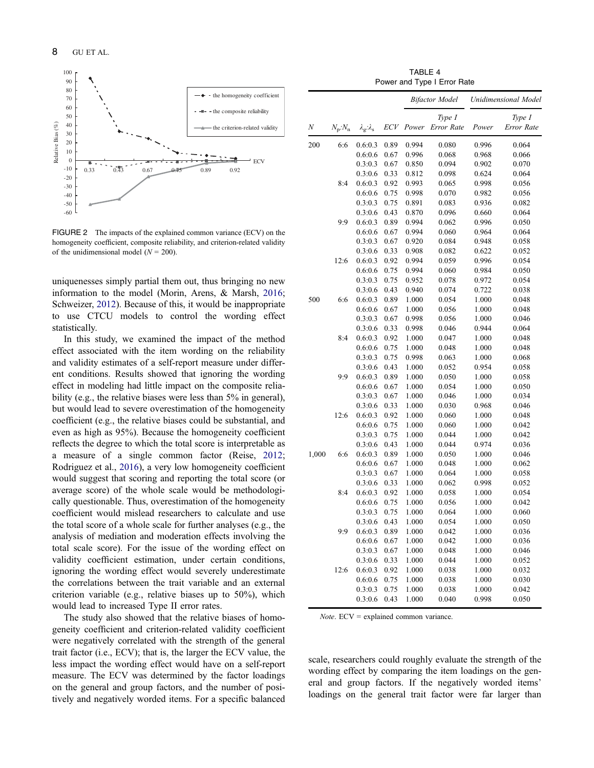

FIGURE 2 The impacts of the explained common variance (ECV) on the homogeneity coefficient, composite reliability, and criterion-related validity of the unidimensional model ( $N = 200$ ).

uniquenesses simply partial them out, thus bringing no new information to the model (Morin, Arens, & Marsh, 2016; Schweizer, 2012). Because of this, it would be inappropriate to use CTCU models to control the wording effect statistically.

In this study, we examined the impact of the method effect associated with the item wording on the reliability and validity estimates of a self-report measure under different conditions. Results showed that ignoring the wording effect in modeling had little impact on the composite reliability (e.g., the relative biases were less than 5% in general), but would lead to severe overestimation of the homogeneity coefficient (e.g., the relative biases could be substantial, and even as high as 95%). Because the homogeneity coefficient reflects the degree to which the total score is interpretable as a measure of a single common factor (Reise, 2012; Rodriguez et al., 2016), a very low homogeneity coefficient would suggest that scoring and reporting the total score (or average score) of the whole scale would be methodologically questionable. Thus, overestimation of the homogeneity coefficient would mislead researchers to calculate and use the total score of a whole scale for further analyses (e.g., the analysis of mediation and moderation effects involving the total scale score). For the issue of the wording effect on validity coefficient estimation, under certain conditions, ignoring the wording effect would severely underestimate the correlations between the trait variable and an external criterion variable (e.g., relative biases up to 50%), which would lead to increased Type II error rates.

The study also showed that the relative biases of homogeneity coefficient and criterion-related validity coefficient were negatively correlated with the strength of the general trait factor (i.e., ECV); that is, the larger the ECV value, the less impact the wording effect would have on a self-report measure. The ECV was determined by the factor loadings on the general and group factors, and the number of positively and negatively worded items. For a specific balanced

TABLE 4 Power and Type I Error Rate

|       |                           |                                       |            |       | <b>Bifactor Model</b> | Unidimensional Model |                      |  |
|-------|---------------------------|---------------------------------------|------------|-------|-----------------------|----------------------|----------------------|--|
| N     | $N_{\rm p}$ : $N_{\rm n}$ | $\lambda_{\rm g}$ : $\lambda_{\rm s}$ | <b>ECV</b> | Power | Type I<br>Error Rate  | Power                | Type I<br>Error Rate |  |
| 200   | 6:6                       | 0.6:0.3                               | 0.89       | 0.994 | 0.080                 | 0.996                | 0.064                |  |
|       |                           | 0.6:0.6                               | 0.67       | 0.996 | 0.068                 | 0.968                | 0.066                |  |
|       |                           | 0.3:0.3                               | 0.67       | 0.850 | 0.094                 | 0.902                | 0.070                |  |
|       |                           | 0.3:0.6                               | 0.33       | 0.812 | 0.098                 | 0.624                | 0.064                |  |
|       | 8:4                       | 0.6:0.3                               | 0.92       | 0.993 | 0.065                 | 0.998                | 0.056                |  |
|       |                           | 0.6:0.6                               | 0.75       | 0.998 | 0.070                 | 0.982                | 0.056                |  |
|       |                           | 0.3:0.3                               | 0.75       | 0.891 | 0.083                 | 0.936                | 0.082                |  |
|       |                           | 0.3:0.6                               | 0.43       | 0.870 | 0.096                 | 0.660                | 0.064                |  |
|       | 9:9                       | 0.6:0.3                               | 0.89       | 0.994 | 0.062                 | 0.996                | 0.050                |  |
|       |                           | 0.6:0.6                               | 0.67       | 0.994 | 0.060                 | 0.964                | 0.064                |  |
|       |                           | 0.3:0.3                               | 0.67       | 0.920 | 0.084                 | 0.948                | 0.058                |  |
|       |                           | 0.3:0.6                               | 0.33       | 0.908 | 0.082                 | 0.622                | 0.052                |  |
|       | 12:6                      | 0.6:0.3                               | 0.92       | 0.994 | 0.059                 | 0.996                | 0.054                |  |
|       |                           | 0.6:0.6                               | 0.75       | 0.994 | 0.060                 | 0.984                | 0.050                |  |
|       |                           | 0.3:0.3                               | 0.75       | 0.952 | 0.078                 | 0.972                | 0.054                |  |
|       |                           | 0.3:0.6                               | 0.43       | 0.940 | 0.074                 | 0.722                | 0.038                |  |
| 500   | 6:6                       | 0.6:0.3                               | 0.89       | 1.000 | 0.054                 | 1.000                | 0.048                |  |
|       |                           | 0.6:0.6                               | 0.67       | 1.000 | 0.056                 | 1.000                | 0.048                |  |
|       |                           | 0.3:0.3                               | 0.67       | 0.998 | 0.056                 | 1.000                | 0.046                |  |
|       |                           | 0.3:0.6                               | 0.33       | 0.998 | 0.046                 | 0.944                | 0.064                |  |
|       | 8:4                       | 0.6:0.3                               | 0.92       | 1.000 | 0.047                 | 1.000                | 0.048                |  |
|       |                           | 0.6:0.6                               | 0.75       | 1.000 | 0.048                 | 1.000                | 0.048                |  |
|       |                           | 0.3:0.3                               | 0.75       | 0.998 | 0.063                 | 1.000                | 0.068                |  |
|       |                           | 0.3:0.6                               | 0.43       | 1.000 | 0.052                 | 0.954                | 0.058                |  |
|       | 9:9                       | 0.6:0.3                               | 0.89       | 1.000 | 0.050                 | 1.000                | 0.058                |  |
|       |                           | 0.6:0.6                               | 0.67       | 1.000 | 0.054                 | 1.000                | 0.050                |  |
|       |                           | 0.3:0.3                               | 0.67       | 1.000 | 0.046                 | 1.000                | 0.034                |  |
|       |                           | 0.3:0.6                               | 0.33       | 1.000 | 0.030                 | 0.968                | 0.046                |  |
|       | 12:6                      | 0.6:0.3                               | 0.92       | 1.000 | 0.060                 | 1.000                | 0.048                |  |
|       |                           | 0.6:0.6                               | 0.75       | 1.000 | 0.060                 | 1.000                | 0.042                |  |
|       |                           | 0.3:0.3                               | 0.75       | 1.000 | 0.044                 | 1.000                | 0.042                |  |
|       |                           | 0.3:0.6                               | 0.43       | 1.000 | 0.044                 | 0.974                | 0.036                |  |
| 1,000 | 6:6                       | 0.6:0.3                               | 0.89       | 1.000 | 0.050                 | 1.000                | 0.046                |  |
|       |                           | 0.6:0.6                               | 0.67       | 1.000 | 0.048                 | 1.000                | 0.062                |  |
|       |                           | 0.3:0.3                               | 0.67       | 1.000 | 0.064                 | 1.000                | 0.058                |  |
|       |                           | 0.3:0.6                               | 0.33       | 1.000 | 0.062                 | 0.998                | 0.052                |  |
|       | 8:4                       | 0.6:0.3                               | 0.92       | 1.000 | 0.058                 | 1.000                | 0.054                |  |
|       |                           | 0.6:0.6                               | 0.75       | 1.000 | 0.056                 | 1.000                | 0.042                |  |
|       |                           | 0.3:0.3                               | 0.75       | 1.000 | 0.064                 | 1.000                | 0.060                |  |
|       |                           | $0.3:0.6$ 0.43                        |            | 1.000 | 0.054                 | 1.000                | 0.050                |  |
|       | 9:9                       | 0.6:0.3                               | 0.89       | 1.000 | 0.042                 | 1.000                | 0.036                |  |
|       |                           | 0.6:0.6                               | 0.67       | 1.000 | 0.042                 | 1.000                | 0.036                |  |
|       |                           | 0.3:0.3                               | 0.67       | 1.000 | 0.048                 | 1.000                | 0.046                |  |
|       |                           | 0.3:0.6                               | 0.33       | 1.000 | 0.044                 | 1.000                | 0.052                |  |
|       | 12:6                      | 0.6:0.3                               | 0.92       | 1.000 | 0.038                 | 1.000                | 0.032                |  |
|       |                           | 0.6:0.6                               | 0.75       | 1.000 | 0.038                 | 1.000                | 0.030                |  |
|       |                           | 0.3:0.3                               | 0.75       | 1.000 | 0.038                 | 1.000                | 0.042                |  |
|       |                           | 0.3:0.6                               | 0.43       | 1.000 | 0.040                 | 0.998                | 0.050                |  |
|       |                           |                                       |            |       |                       |                      |                      |  |

Note. ECV = explained common variance.

scale, researchers could roughly evaluate the strength of the wording effect by comparing the item loadings on the general and group factors. If the negatively worded items' loadings on the general trait factor were far larger than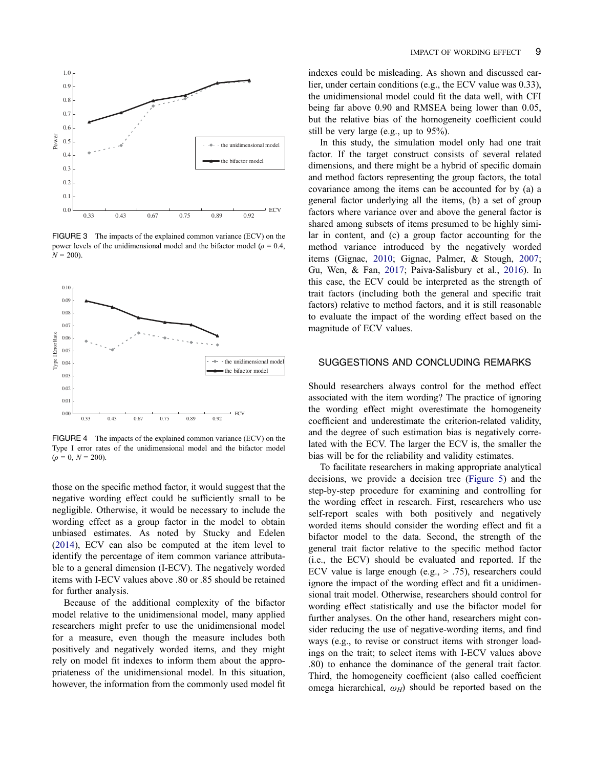

FIGURE 3 The impacts of the explained common variance (ECV) on the power levels of the unidimensional model and the bifactor model ( $\rho = 0.4$ ,  $N = 200$ ).



FIGURE 4 The impacts of the explained common variance (ECV) on the Type I error rates of the unidimensional model and the bifactor model  $(\rho = 0, N = 200).$ 

those on the specific method factor, it would suggest that the negative wording effect could be sufficiently small to be negligible. Otherwise, it would be necessary to include the wording effect as a group factor in the model to obtain unbiased estimates. As noted by Stucky and Edelen (2014), ECV can also be computed at the item level to identify the percentage of item common variance attributable to a general dimension (I-ECV). The negatively worded items with I-ECV values above .80 or .85 should be retained for further analysis.

Because of the additional complexity of the bifactor model relative to the unidimensional model, many applied researchers might prefer to use the unidimensional model for a measure, even though the measure includes both positively and negatively worded items, and they might rely on model fit indexes to inform them about the appropriateness of the unidimensional model. In this situation, however, the information from the commonly used model fit

indexes could be misleading. As shown and discussed earlier, under certain conditions (e.g., the ECV value was 0.33), the unidimensional model could fit the data well, with CFI being far above 0.90 and RMSEA being lower than 0.05, but the relative bias of the homogeneity coefficient could still be very large (e.g., up to 95%).

In this study, the simulation model only had one trait factor. If the target construct consists of several related dimensions, and there might be a hybrid of specific domain and method factors representing the group factors, the total covariance among the items can be accounted for by (a) a general factor underlying all the items, (b) a set of group factors where variance over and above the general factor is shared among subsets of items presumed to be highly similar in content, and (c) a group factor accounting for the method variance introduced by the negatively worded items (Gignac, 2010; Gignac, Palmer, & Stough, 2007; Gu, Wen, & Fan, 2017; Paiva-Salisbury et al., 2016). In this case, the ECV could be interpreted as the strength of trait factors (including both the general and specific trait factors) relative to method factors, and it is still reasonable to evaluate the impact of the wording effect based on the magnitude of ECV values.

# SUGGESTIONS AND CONCLUDING REMARKS

Should researchers always control for the method effect associated with the item wording? The practice of ignoring the wording effect might overestimate the homogeneity coefficient and underestimate the criterion-related validity, and the degree of such estimation bias is negatively correlated with the ECV. The larger the ECV is, the smaller the bias will be for the reliability and validity estimates.

To facilitate researchers in making appropriate analytical decisions, we provide a decision tree (Figure 5) and the step-by-step procedure for examining and controlling for the wording effect in research. First, researchers who use self-report scales with both positively and negatively worded items should consider the wording effect and fit a bifactor model to the data. Second, the strength of the general trait factor relative to the specific method factor (i.e., the ECV) should be evaluated and reported. If the ECV value is large enough (e.g.,  $> .75$ ), researchers could ignore the impact of the wording effect and fit a unidimensional trait model. Otherwise, researchers should control for wording effect statistically and use the bifactor model for further analyses. On the other hand, researchers might consider reducing the use of negative-wording items, and find ways (e.g., to revise or construct items with stronger loadings on the trait; to select items with I-ECV values above .80) to enhance the dominance of the general trait factor. Third, the homogeneity coefficient (also called coefficient omega hierarchical,  $\omega_H$ ) should be reported based on the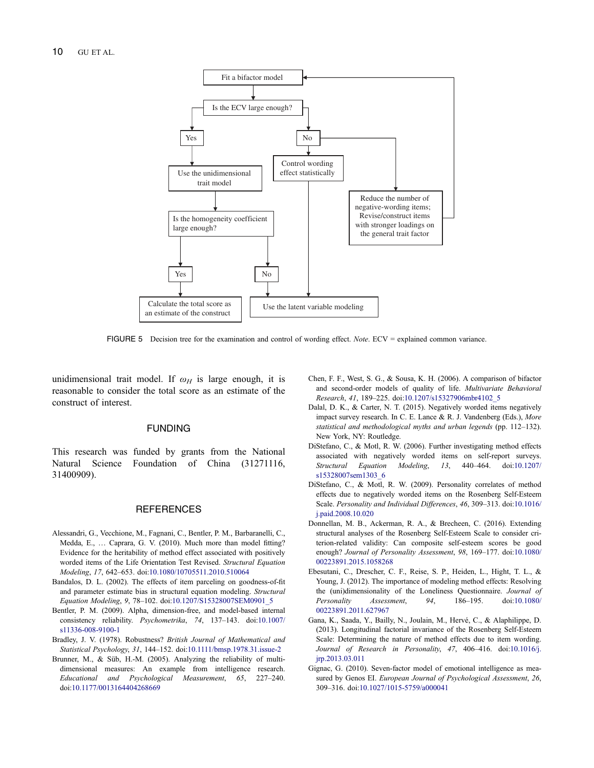

FIGURE 5 Decision tree for the examination and control of wording effect. Note. ECV = explained common variance.

unidimensional trait model. If  $\omega_H$  is large enough, it is reasonable to consider the total score as an estimate of the construct of interest.

# FUNDING

This research was funded by grants from the National Natural Science Foundation of China (31271116, 31400909).

## **REFERENCES**

- Alessandri, G., Vecchione, M., Fagnani, C., Bentler, P. M., Barbaranelli, C., Medda, E., … Caprara, G. V. (2010). Much more than model fitting? Evidence for the heritability of method effect associated with positively worded items of the Life Orientation Test Revised. Structural Equation Modeling, 17, 642–653. doi:10.1080/10705511.2010.510064
- Bandalos, D. L. (2002). The effects of item parceling on goodness-of-fit and parameter estimate bias in structural equation modeling. Structural Equation Modeling, 9, 78–102. doi:10.1207/S15328007SEM0901\_5
- Bentler, P. M. (2009). Alpha, dimension-free, and model-based internal consistency reliability. Psychometrika, 74, 137–143. doi:10.1007/ s11336-008-9100-1
- Bradley, J. V. (1978). Robustness? British Journal of Mathematical and Statistical Psychology, 31, 144–152. doi:10.1111/bmsp.1978.31.issue-2
- Brunner, M., & Süb, H.-M. (2005). Analyzing the reliability of multidimensional measures: An example from intelligence research. Educational and Psychological Measurement, 65, 227–240. doi:10.1177/0013164404268669
- Chen, F. F., West, S. G., & Sousa, K. H. (2006). A comparison of bifactor and second-order models of quality of life. Multivariate Behavioral Research, 41, 189–225. doi:10.1207/s15327906mbr4102\_5
- Dalal, D. K., & Carter, N. T. (2015). Negatively worded items negatively impact survey research. In C. E. Lance & R. J. Vandenberg (Eds.), More statistical and methodological myths and urban legends (pp. 112–132). New York, NY: Routledge.
- DiStefano, C., & Motl, R. W. (2006). Further investigating method effects associated with negatively worded items on self-report surveys. Structural Equation Modeling, 13, 440–464. doi:10.1207/ s15328007sem1303\_6
- DiStefano, C., & Motl, R. W. (2009). Personality correlates of method effects due to negatively worded items on the Rosenberg Self-Esteem Scale. Personality and Individual Differences, 46, 309–313. doi:10.1016/ j.paid.2008.10.020
- Donnellan, M. B., Ackerman, R. A., & Brecheen, C. (2016). Extending structural analyses of the Rosenberg Self-Esteem Scale to consider criterion-related validity: Can composite self-esteem scores be good enough? Journal of Personality Assessment, 98, 169–177. doi:10.1080/ 00223891.2015.1058268
- Ebesutani, C., Drescher, C. F., Reise, S. P., Heiden, L., Hight, T. L., & Young, J. (2012). The importance of modeling method effects: Resolving the (uni)dimensionality of the Loneliness Questionnaire. Journal of Personality Assessment, 94, 186–195. doi:10.1080/ 00223891.2011.627967
- Gana, K., Saada, Y., Bailly, N., Joulain, M., Hervé, C., & Alaphilippe, D. (2013). Longitudinal factorial invariance of the Rosenberg Self-Esteem Scale: Determining the nature of method effects due to item wording. Journal of Research in Personality, 47, 406–416. doi:10.1016/j. jrp.2013.03.011
- Gignac, G. (2010). Seven-factor model of emotional intelligence as measured by Genos EI. European Journal of Psychological Assessment, 26, 309–316. doi:10.1027/1015-5759/a000041